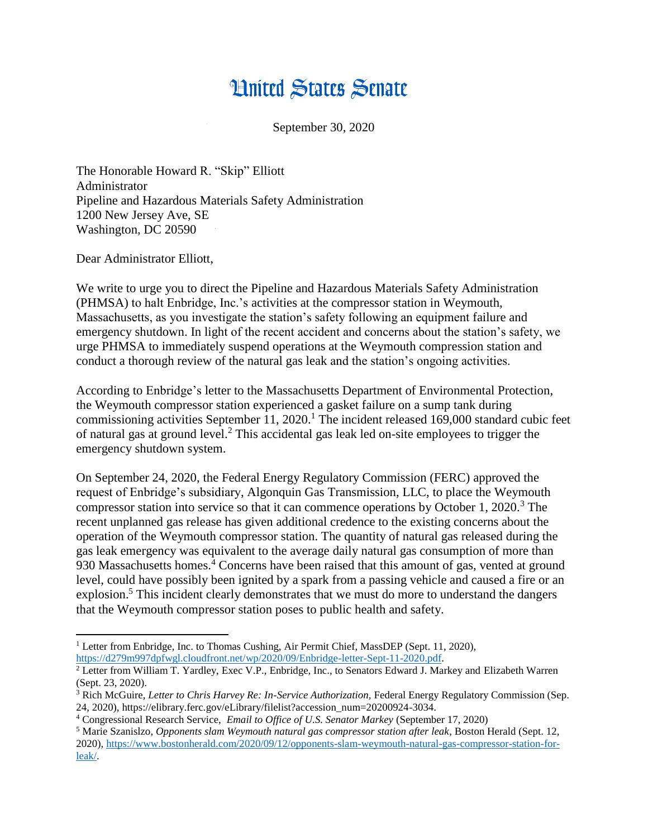## **Hnited States Senate**

September 30, 2020

The Honorable Howard R. "Skip" Elliott Administrator Pipeline and Hazardous Materials Safety Administration 1200 New Jersey Ave, SE Washington, DC 20590

Dear Administrator Elliott,

We write to urge you to direct the Pipeline and Hazardous Materials Safety Administration (PHMSA) to halt Enbridge, Inc.'s activities at the compressor station in Weymouth, Massachusetts, as you investigate the station's safety following an equipment failure and emergency shutdown. In light of the recent accident and concerns about the station's safety, we urge PHMSA to immediately suspend operations at the Weymouth compression station and conduct a thorough review of the natural gas leak and the station's ongoing activities.

According to Enbridge's letter to the Massachusetts Department of Environmental Protection, the Weymouth compressor station experienced a gasket failure on a sump tank during commissioning activities September 11, 2020.<sup>1</sup> The incident released 169,000 standard cubic feet of natural gas at ground level. <sup>2</sup> This accidental gas leak led on-site employees to trigger the emergency shutdown system.

On September 24, 2020, the Federal Energy Regulatory Commission (FERC) approved the request of Enbridge's subsidiary, Algonquin Gas Transmission, LLC, to place the Weymouth compressor station into service so that it can commence operations by October 1, 2020.<sup>3</sup> The recent unplanned gas release has given additional credence to the existing concerns about the operation of the Weymouth compressor station. The quantity of natural gas released during the gas leak emergency was equivalent to the average daily natural gas consumption of more than 930 Massachusetts homes.<sup>4</sup> Concerns have been raised that this amount of gas, vented at ground level, could have possibly been ignited by a spark from a passing vehicle and caused a fire or an explosion.<sup>5</sup> This incident clearly demonstrates that we must do more to understand the dangers that the Weymouth compressor station poses to public health and safety.

 $\overline{a}$ <sup>1</sup> Letter from Enbridge, Inc. to Thomas Cushing, Air Permit Chief, MassDEP (Sept. 11, 2020), [https://d279m997dpfwgl.cloudfront.net/wp/2020/09/Enbridge-letter-Sept-11-2020.pdf.](https://d279m997dpfwgl.cloudfront.net/wp/2020/09/Enbridge-letter-Sept-11-2020.pdf)

<sup>2</sup> Letter from William T. Yardley, Exec V.P., Enbridge, Inc., to Senators Edward J. Markey and Elizabeth Warren (Sept. 23, 2020).

<sup>3</sup> Rich McGuire, *Letter to Chris Harvey Re: In-Service Authorization,* Federal Energy Regulatory Commission (Sep. 24, 2020), https://elibrary.ferc.gov/eLibrary/filelist?accession\_num=20200924-3034.

<sup>4</sup> Congressional Research Service, *Email to Office of U.S. Senator Markey* (September 17, 2020)

<sup>5</sup> Marie Szanislzo, *Opponents slam Weymouth natural gas compressor station after leak*, Boston Herald (Sept. 12, 2020), [https://www.bostonherald.com/2020/09/12/opponents-slam-weymouth-natural-gas-compressor-station-for](https://www.bostonherald.com/2020/09/12/opponents-slam-weymouth-natural-gas-compressor-station-for-leak/)[leak/.](https://www.bostonherald.com/2020/09/12/opponents-slam-weymouth-natural-gas-compressor-station-for-leak/)